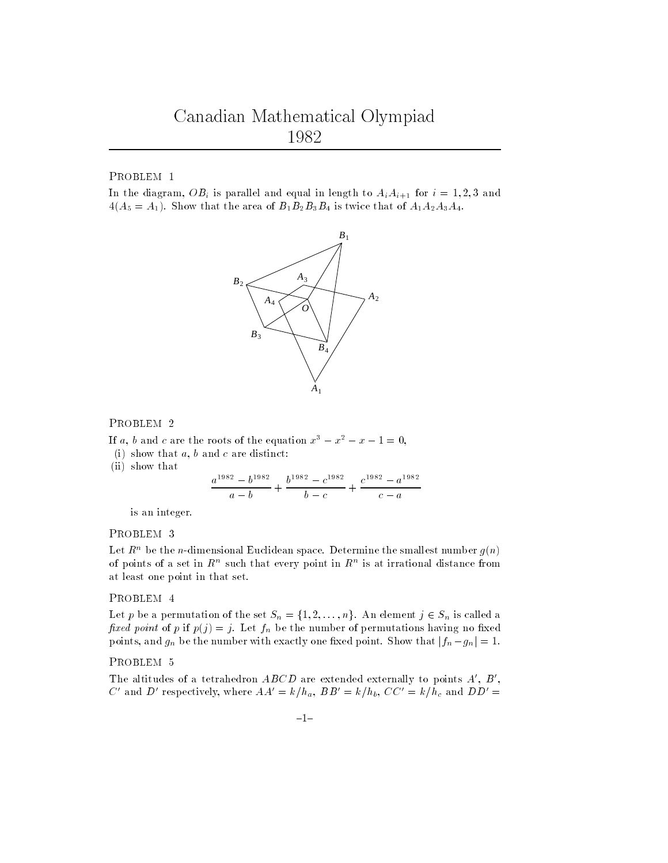PROBLEM 1

In the diagram,  $OB_i$  is parallel and equal in length to  $A_iA_{i+1}$  for  $i = 1, 2, 3$  and  $4(A_5 = A_1)$ . Show that the area of  $B_1B_2B_3B_4$  is twice that of  $A_1A_2A_3A_4$ .



## PROBLEM 2

If a, b and c are the roots of the equation  $x^3 - x^2 - x - 1 = 0$ ,

- (i) show that  $a, b$  and  $c$  are distinct:
- (ii) show that

$$
\frac{a^{1982} - b^{1982}}{a - b} + \frac{b^{1982} - c^{1982}}{b - c} + \frac{c^{1982} - a^{1982}}{c - a}
$$

is an integer.

## PROBLEM 3

Let  $R^n$  be the *n*-dimensional Euclidean space. Determine the smallest number  $g(n)$ of points of a set in  $R^+$  such that every point in  $R^+$  is at irrational distance from at least one point in that set.

## PROBLEM 4

Let p be a permutation of the set  $S_n = \{1, 2, \ldots, n\}$ . An element  $j \in S_n$  is called a fixed point of p if  $p(j) = j$ . Let  $f_n$  be the number of permutations having no fixed points, and  $g_n$  be the number with exactly one fixed point. Show that  $|f_n - g_n| = 1$ .

The altitudes of a tetrahedron  $ABCD$  are extended externally to points  $A'$ ,  $B'$ ,  $C'$  and  $D'$  respectively, where  $AA' = k/h_a$ ,  $BB' = k/h_b$ ,  $CC' = k/h_c$  and  $DD' =$